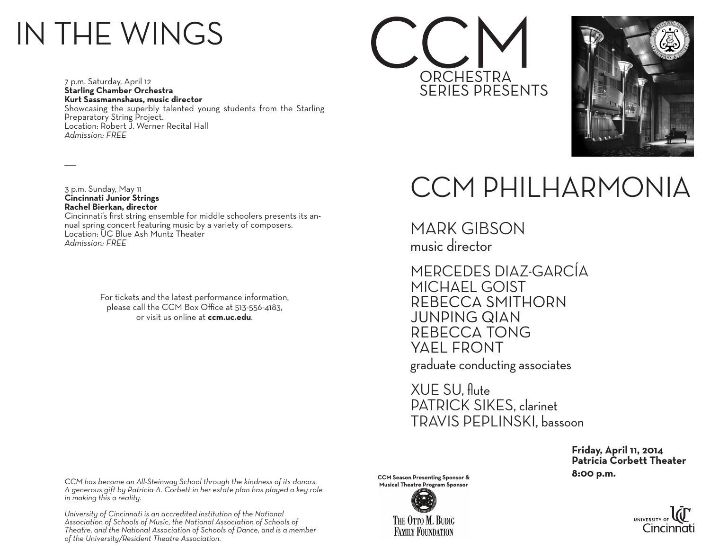## IN THE WINGS

7 p.m. Saturday, April 12 **Starling Chamber Orchestra Kurt Sassmannshaus, music director** Showcasing the superbly talented young students from the Starling Preparatory String Project. Location: Robert J. Werner Recital Hall *Admission: FREE*





3 p.m. Sunday, May 11 **Cincinnati Junior Strings Rachel Bierkan, director**

 $\overline{\phantom{a}}$ 

Cincinnati's first string ensemble for middle schoolers presents its annual spring concert featuring music by a variety of composers. Location: UC Blue Ash Muntz Theater *Admission: FREE*

> For tickets and the latest performance information, please call the CCM Box Office at 513-556-4183, or visit us online at **ccm.uc.edu**.

### CCM PHILHARMONIA

MARK GIBSON music director

MERCEDES DIAZ-GARCÍA MICHAEL GOIST REBECCA SMITHORN JUNPING QIAN REBECCA TONG YAEL FRONT

graduate conducting associates

XUE SU, flute PATRICK SIKES, clarinet TRAVIS PEPLINSKI, bassoon

 **Friday, April 11, 2014 Patricia Corbett Theater CCM Season Presenting Sponsor & CCM Season Presenting Sponsor & CCM Season Presenting Stromate Books and Stromate Books and Stromate Books and Stromate Books and Stromate Books and Stromate Books and Stromate Books and St** 

*CCM has become an All-Steinway School through the kindness of its donors. A generous gift by Patricia A. Corbett in her estate plan has played a key role in making this a reality.*

*University of Cincinnati is an accredited institution of the National Association of Schools of Music, the National Association of Schools of Theatre, and the National Association of Schools of Dance, and is a member of the University/Resident Theatre Association.*

**Musical Theatre Program Sponsor**